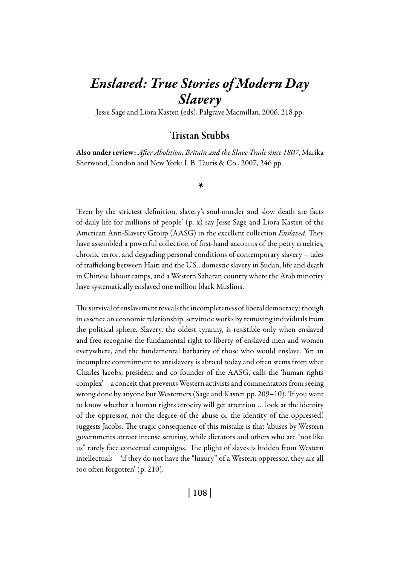# *Enslaved: True Stories of Modern Day Slavery*

Jesse Sage and Liora Kasten (eds), Palgrave Macmillan, 2006, 218 pp.

## Tristan Stubbs

Also under review: *After Abolition. Britain and the Slave Trade since 1807*, Marika Sherwood, London and New York: I. B. Tauris & Co., 2007, 246 pp.

#### *\**

'Even by the strictest definition, slavery's soul-murder and slow death are facts of daily life for millions of people' (p. x) say Jesse Sage and Liora Kasten of the American Anti-Slavery Group (AASG) in the excellent collection *Enslaved*. They have assembled a powerful collection of first-hand accounts of the petty cruelties, chronic terror, and degrading personal conditions of contemporary slavery – tales of trafficking between Haiti and the U.S., domestic slavery in Sudan, life and death in Chinese labour camps, and a Western Saharan country where the Arab minority have systematically enslaved one million black Muslims.

The survival of enslavement reveals the incompleteness of liberal democracy: though in essence an economic relationship, servitude works by removing individuals from the political sphere. Slavery, the oldest tyranny, is resistible only when enslaved and free recognise the fundamental right to liberty of enslaved men and women everywhere, and the fundamental barbarity of those who would enslave. Yet an incomplete commitment to antislavery is abroad today and often stems from what Charles Jacobs, president and co-founder of the AASG, calls the 'human rights complex' – a conceit that prevents Western activists and commentators from seeing wrong done by anyone but Westerners (Sage and Kasten pp. 209–10). 'If you want to know whether a human rights atrocity will get attention … look at the identity of the oppressor, not the degree of the abuse or the identity of the oppressed,' suggests Jacobs. The tragic consequence of this mistake is that 'abuses by Western governments attract intense scrutiny, while dictators and others who are "not like us" rarely face concerted campaigns.' The plight of slaves is hidden from Western intellectuals – 'if they do not have the "luxury" of a Western oppressor, they are all too often forgotten' (p. 210).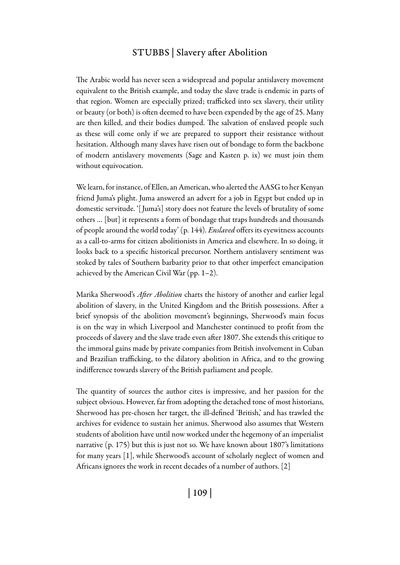### STUBBS | Slavery after Abolition

The Arabic world has never seen a widespread and popular antislavery movement equivalent to the British example, and today the slave trade is endemic in parts of that region. Women are especially prized; trafficked into sex slavery, their utility or beauty (or both) is often deemed to have been expended by the age of 25. Many are then killed, and their bodies dumped. The salvation of enslaved people such as these will come only if we are prepared to support their resistance without hesitation. Although many slaves have risen out of bondage to form the backbone of modern antislavery movements (Sage and Kasten p. ix) we must join them without equivocation.

We learn, for instance, of Ellen, an American, who alerted the AASG to her Kenyan friend Juma's plight. Juma answered an advert for a job in Egypt but ended up in domestic servitude. '[ Juma's] story does not feature the levels of brutality of some others … [but] it represents a form of bondage that traps hundreds and thousands of people around the world today' (p. 144). *Enslaved* offers its eyewitness accounts as a call-to-arms for citizen abolitionists in America and elsewhere. In so doing, it looks back to a specific historical precursor. Northern antislavery sentiment was stoked by tales of Southern barbarity prior to that other imperfect emancipation achieved by the American Civil War (pp. 1–2).

Marika Sherwood's *After Abolition* charts the history of another and earlier legal abolition of slavery, in the United Kingdom and the British possessions. After a brief synopsis of the abolition movement's beginnings, Sherwood's main focus is on the way in which Liverpool and Manchester continued to profit from the proceeds of slavery and the slave trade even after 1807. She extends this critique to the immoral gains made by private companies from British involvement in Cuban and Brazilian trafficking, to the dilatory abolition in Africa, and to the growing indifference towards slavery of the British parliament and people.

The quantity of sources the author cites is impressive, and her passion for the subject obvious. However, far from adopting the detached tone of most historians, Sherwood has pre-chosen her target, the ill-defined 'British,' and has trawled the archives for evidence to sustain her animus. Sherwood also assumes that Western students of abolition have until now worked under the hegemony of an imperialist narrative (p. 175) but this is just not so. We have known about 1807's limitations for many years [1], while Sherwood's account of scholarly neglect of women and Africans ignores the work in recent decades of a number of authors. [2]

| 109 |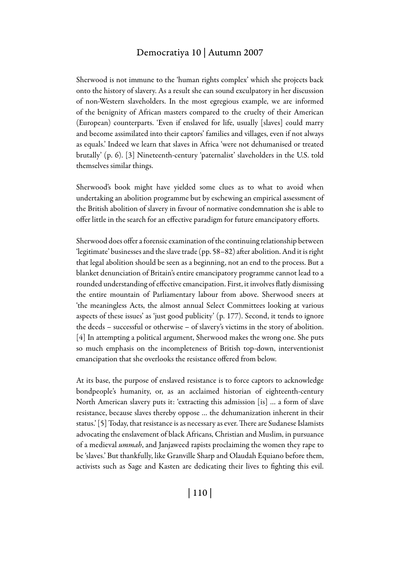#### Democratiya 10 | Autumn 2007

Sherwood is not immune to the 'human rights complex' which she projects back onto the history of slavery. As a result she can sound exculpatory in her discussion of non-Western slaveholders. In the most egregious example, we are informed of the benignity of African masters compared to the cruelty of their American (European) counterparts. 'Even if enslaved for life, usually [slaves] could marry and become assimilated into their captors' families and villages, even if not always as equals.' Indeed we learn that slaves in Africa 'were not dehumanised or treated brutally' (p. 6). [3] Nineteenth-century 'paternalist' slaveholders in the U.S. told themselves similar things.

Sherwood's book might have yielded some clues as to what to avoid when undertaking an abolition programme but by eschewing an empirical assessment of the British abolition of slavery in favour of normative condemnation she is able to offer little in the search for an effective paradigm for future emancipatory efforts.

Sherwood does offer a forensic examination of the continuing relationship between 'legitimate' businesses and the slave trade (pp. 58–82) after abolition. And it is right that legal abolition should be seen as a beginning, not an end to the process. But a blanket denunciation of Britain's entire emancipatory programme cannot lead to a rounded understanding of effective emancipation. First, it involves flatly dismissing the entire mountain of Parliamentary labour from above. Sherwood sneers at 'the meaningless Acts, the almost annual Select Committees looking at various aspects of these issues' as 'just good publicity' (p. 177). Second, it tends to ignore the deeds – successful or otherwise – of slavery's victims in the story of abolition. [4] In attempting a political argument, Sherwood makes the wrong one. She puts so much emphasis on the incompleteness of British top-down, interventionist emancipation that she overlooks the resistance offered from below.

At its base, the purpose of enslaved resistance is to force captors to acknowledge bondpeople's humanity, or, as an acclaimed historian of eighteenth-century North American slavery puts it: 'extracting this admission [is] … a form of slave resistance, because slaves thereby oppose … the dehumanization inherent in their status.' [5] Today, that resistance is as necessary as ever. There are Sudanese Islamists advocating the enslavement of black Africans, Christian and Muslim, in pursuance of a medieval *ummah*, and Janjaweed rapists proclaiming the women they rape to be 'slaves.' But thankfully, like Granville Sharp and Olaudah Equiano before them, activists such as Sage and Kasten are dedicating their lives to fighting this evil.

| 110 |